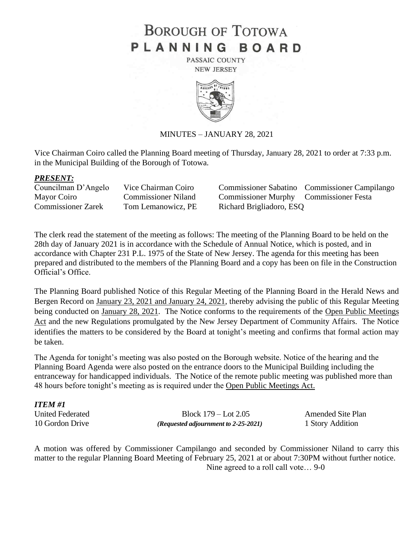# **BOROUGH OF TOTOWA** PLANNING BOARD

PASSAIC COUNTY **NEW JERSEY** 



#### MINUTES – JANUARY 28, 2021

Vice Chairman Coiro called the Planning Board meeting of Thursday, January 28, 2021 to order at 7:33 p.m. in the Municipal Building of the Borough of Totowa.

#### *PRESENT:*

| Councilman D'Angelo       | Vice Chairma |
|---------------------------|--------------|
| Mayor Coiro               | Commissione  |
| <b>Commissioner Zarek</b> | Tom Lemano   |

an Coiro Commissioner Sabatino Commissioner Campilango er Niland Commissioner Murphy Commissioner Festa pwicz, PE Richard Brigliadoro, ESQ

The clerk read the statement of the meeting as follows: The meeting of the Planning Board to be held on the 28th day of January 2021 is in accordance with the Schedule of Annual Notice, which is posted, and in accordance with Chapter 231 P.L. 1975 of the State of New Jersey. The agenda for this meeting has been prepared and distributed to the members of the Planning Board and a copy has been on file in the Construction Official's Office.

The Planning Board published Notice of this Regular Meeting of the Planning Board in the Herald News and Bergen Record on January 23, 2021 and January 24, 2021, thereby advising the public of this Regular Meeting being conducted on January 28, 2021. The Notice conforms to the requirements of the Open Public Meetings Act and the new Regulations promulgated by the New Jersey Department of Community Affairs. The Notice identifies the matters to be considered by the Board at tonight's meeting and confirms that formal action may be taken.

The Agenda for tonight's meeting was also posted on the Borough website. Notice of the hearing and the Planning Board Agenda were also posted on the entrance doors to the Municipal Building including the entranceway for handicapped individuals. The Notice of the remote public meeting was published more than 48 hours before tonight's meeting as is required under the Open Public Meetings Act.

| <b>ITEM#1</b>    |                                               |                          |
|------------------|-----------------------------------------------|--------------------------|
| United Federated | Block $179 -$ Lot $2.05$                      | <b>Amended Site Plan</b> |
| 10 Gordon Drive  | ( <i>Requested adjournment to 2-25-2021</i> ) | 1 Story Addition         |

A motion was offered by Commissioner Campilango and seconded by Commissioner Niland to carry this matter to the regular Planning Board Meeting of February 25, 2021 at or about 7:30PM without further notice. Nine agreed to a roll call vote… 9-0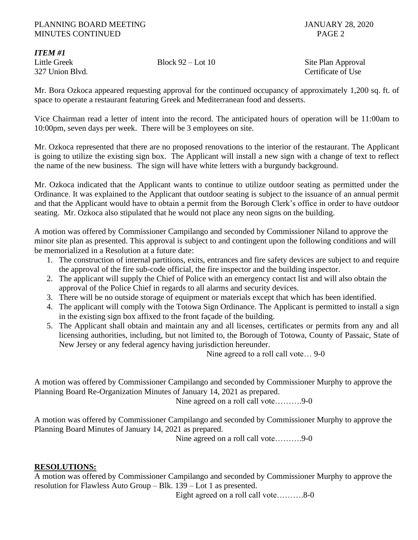### PLANNING BOARD MEETING JANUARY 28, 2020 MINUTES CONTINUED PAGE 2

*ITEM #1*

Little Greek Block 92 – Lot 10 Site Plan Approval 327 Union Blvd. Certificate of Use

Mr. Bora Ozkoca appeared requesting approval for the continued occupancy of approximately 1,200 sq. ft. of space to operate a restaurant featuring Greek and Mediterranean food and desserts.

Vice Chairman read a letter of intent into the record. The anticipated hours of operation will be 11:00am to 10:00pm, seven days per week. There will be 3 employees on site.

Mr. Ozkoca represented that there are no proposed renovations to the interior of the restaurant. The Applicant is going to utilize the existing sign box. The Applicant will install a new sign with a change of text to reflect the name of the new business. The sign will have white letters with a burgundy background.

Mr. Ozkoca indicated that the Applicant wants to continue to utilize outdoor seating as permitted under the Ordinance. It was explained to the Applicant that outdoor seating is subject to the issuance of an annual permit and that the Applicant would have to obtain a permit from the Borough Clerk's office in order to have outdoor seating. Mr. Ozkoca also stipulated that he would not place any neon signs on the building.

A motion was offered by Commissioner Campilango and seconded by Commissioner Niland to approve the minor site plan as presented. This approval is subject to and contingent upon the following conditions and will be memorialized in a Resolution at a future date:

- 1. The construction of internal partitions, exits, entrances and fire safety devices are subject to and require the approval of the fire sub-code official, the fire inspector and the building inspector.
- 2. The applicant will supply the Chief of Police with an emergency contact list and will also obtain the approval of the Police Chief in regards to all alarms and security devices.
- 3. There will be no outside storage of equipment or materials except that which has been identified.
- 4. The applicant will comply with the Totowa Sign Ordinance. The Applicant is permitted to install a sign in the existing sign box affixed to the front façade of the building.
- 5. The Applicant shall obtain and maintain any and all licenses, certificates or permits from any and all licensing authorities, including, but not limited to, the Borough of Totowa, County of Passaic, State of New Jersey or any federal agency having jurisdiction hereunder.

Nine agreed to a roll call vote… 9-0

A motion was offered by Commissioner Campilango and seconded by Commissioner Murphy to approve the Planning Board Re-Organization Minutes of January 14, 2021 as prepared.

Nine agreed on a roll call vote……….9-0

A motion was offered by Commissioner Campilango and seconded by Commissioner Murphy to approve the Planning Board Minutes of January 14, 2021 as prepared.

Nine agreed on a roll call vote……….9-0

## **RESOLUTIONS:**

A motion was offered by Commissioner Campilango and seconded by Commissioner Murphy to approve the resolution for Flawless Auto Group – Blk. 139 – Lot 1 as presented.

Eight agreed on a roll call vote……….8-0